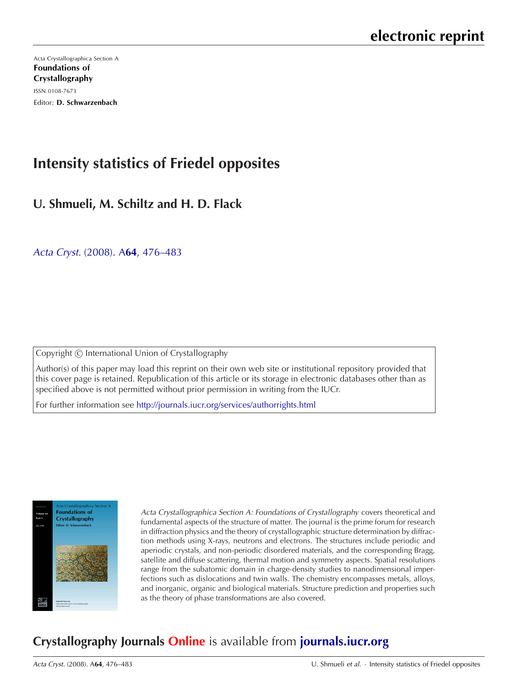[Acta Crystallographica Section A](http://journals.iucr.org/a/) Foundations of Crystallography ISSN 0108-7673 Editor: D. Schwarzenbach

# **Intensity statistics of Friedel opposites**

# **U. Shmueli, M. Schiltz and H. D. Flack**

Acta Cryst. (2008). A**64**[, 476–483](http://dx.doi.org/10.1107/S0108767308013421)

Copyright © International Union of Crystallography

Author(s) of this paper may load this reprint on their own web site or institutional repository provided that this cover page is retained. Republication of this article or its storage in electronic databases other than as specified above is not permitted without prior permission in writing from the IUCr.

For further information see <http://journals.iucr.org/services/authorrights.html>



Acta Crystallographica Section A: Foundations of Crystallography covers theoretical and fundamental aspects of the structure of matter. The journal is the prime forum for research in diffraction physics and the theory of crystallographic structure determination by diffraction methods using X-rays, neutrons and electrons. The structures include periodic and aperiodic crystals, and non-periodic disordered materials, and the corresponding Bragg, satellite and diffuse scattering, thermal motion and symmetry aspects. Spatial resolutions range from the subatomic domain in charge-density studies to nanodimensional imperfections such as dislocations and twin walls. The chemistry encompasses metals, alloys, and inorganic, organic and biological materials. Structure prediction and properties such as the theory of phase transformations are also covered.

# **Crystallography Journals Online** is available from **[journals.iucr.org](http://journals.iucr.org)**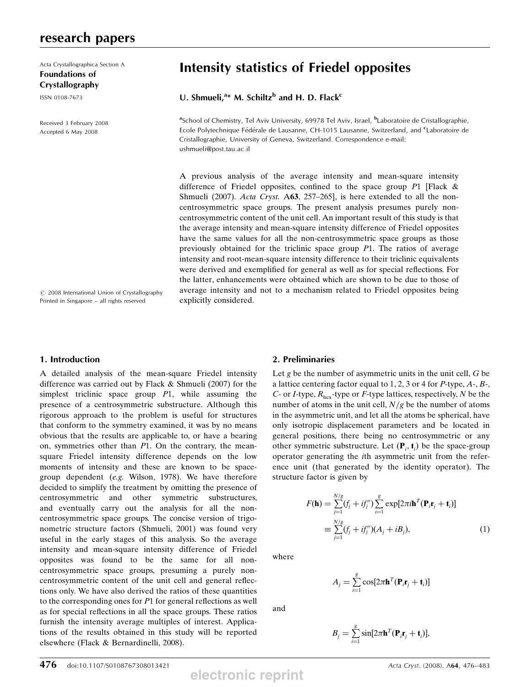## research papers

Acta Crystallographica Section A Foundations of Crystallography

ISSN 0108-7673

Received 3 February 2008 Accepted 6 May 2008

# Intensity statistics of Friedel opposites

## U. Shmueli, $a^*$  M. Schiltz<sup>b</sup> and H. D. Flack<sup>c</sup>

<sup>a</sup>School of Chemistry, Tel Aviv University, 69978 Tel Aviv, Israel, <sup>b</sup>Laboratoire de Cristallographie, Ecole Polytechnique Fédérale de Lausanne, CH-1015 Lausanne, Switzerland, and <sup>c</sup>Laboratoire de Cristallographie, University of Geneva, Switzerland. Correspondence e-mail: ushmueli@post.tau.ac.il

A previous analysis of the average intensity and mean-square intensity difference of Friedel opposites, confined to the space group  $P1$  [Flack & Shmueli (2007). Acta Cryst. A63, 257-265], is here extended to all the noncentrosymmetric space groups. The present analysis presumes purely noncentrosymmetric content of the unit cell. An important result of this study is that the average intensity and mean-square intensity difference of Friedel opposites have the same values for all the non-centrosymmetric space groups as those previously obtained for the triclinic space group P1. The ratios of average intensity and root-mean-square intensity difference to their triclinic equivalents were derived and exemplified for general as well as for special reflections. For the latter, enhancements were obtained which are shown to be due to those of average intensity and not to a mechanism related to Friedel opposites being explicitly considered.

 $©$  2008 International Union of Crystallography Printed in Singapore – all rights reserved

#### 1. Introduction

A detailed analysis of the mean-square Friedel intensity difference was carried out by Flack & Shmueli (2007) for the simplest triclinic space group  $P1$ , while assuming the presence of a centrosymmetric substructure. Although this rigorous approach to the problem is useful for structures that conform to the symmetry examined, it was by no means obvious that the results are applicable to, or have a bearing on, symmetries other than P1. On the contrary, the meansquare Friedel intensity difference depends on the low moments of intensity and these are known to be spacegroup dependent (e.g. Wilson, 1978). We have therefore decided to simplify the treatment by omitting the presence of centrosymmetric and other symmetric substructures, and eventually carry out the analysis for all the noncentrosymmetric space groups. The concise version of trigonometric structure factors (Shmueli, 2001) was found very useful in the early stages of this analysis. So the average intensity and mean-square intensity difference of Friedel opposites was found to be the same for all noncentrosymmetric space groups, presuming a purely noncentrosymmetric content of the unit cell and general reflections only. We have also derived the ratios of these quantities to the corresponding ones for P1 for general reflections as well as for special reflections in all the space groups. These ratios furnish the intensity average multiples of interest. Applications of the results obtained in this study will be reported elsewhere (Flack & Bernardinelli, 2008).

### 2. Preliminaries

Let  $g$  be the number of asymmetric units in the unit cell,  $G$  be a lattice centering factor equal to  $1, 2, 3$  or 4 for P-type,  $A_1, B_2,$ C- or *I*-type,  $R_{\text{hex}}$ -type or *F*-type lattices, respectively, *N* be the number of atoms in the unit cell,  $N/g$  be the number of atoms in the asymmetric unit, and let all the atoms be spherical, have only isotropic displacement parameters and be located in general positions, there being no centrosymmetric or any other symmetric substructure. Let  $(\mathbf{P}_i, \mathbf{t}_i)$  be the space-group<br>operator generating the *i*th asymmetric unit from the referoperator generating the ith asymmetric unit from the reference unit (that generated by the identity operator). The structure factor is given by

$$
F(\mathbf{h}) = \sum_{j=1}^{N/g} (f_j + if_j'') \sum_{i=1}^{g} \exp[2\pi i \mathbf{h}^T (\mathbf{P}_i \mathbf{r}_j + \mathbf{t}_i)]
$$
  

$$
\equiv \sum_{j=1}^{N/g} (f_j + if_j'') (A_j + iB_j),
$$
 (1)

where

$$
A_j = \sum_{i=1}^{g} \cos[2\pi \mathbf{h}^T (\mathbf{P}_i \mathbf{r}_j + \mathbf{t}_i)]
$$

and

$$
B_j = \sum_{i=1}^g \sin[2\pi \mathbf{h}^T (\mathbf{P}_i \mathbf{r}_j + \mathbf{t}_i)],
$$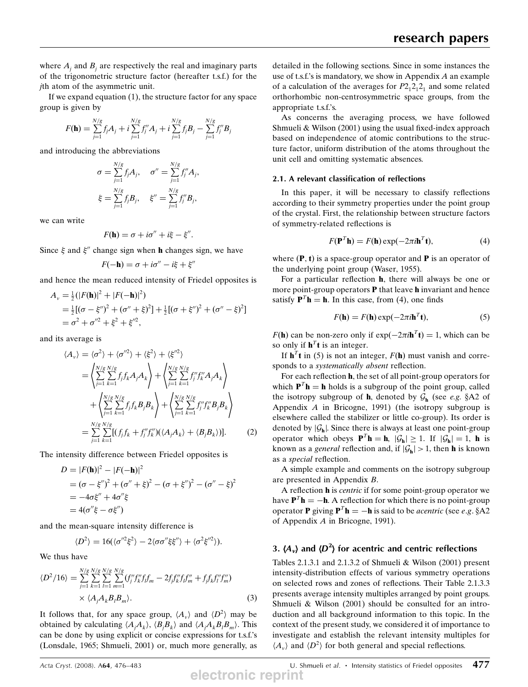where  $A_i$  and  $B_i$  are respectively the real and imaginary parts of the trigonometric structure factor (hereafter t.s.f.) for the jth atom of the asymmetric unit.

If we expand equation (1), the structure factor for any space group is given by

$$
F(\mathbf{h}) = \sum_{j=1}^{N/g} f_j A_j + i \sum_{j=1}^{N/g} f_j'' A_j + i \sum_{j=1}^{N/g} f_j B_j - \sum_{j=1}^{N/g} f_j'' B_j
$$

and introducing the abbreviations

$$
\sigma = \sum_{j=1}^{N/g} f_j A_j, \quad \sigma'' = \sum_{j=1}^{N/g} f_j'' A_j,
$$
  

$$
\xi = \sum_{j=1}^{N/g} f_j B_j, \quad \xi'' = \sum_{j=1}^{N/g} f_j'' B_j,
$$

we can write

$$
F(\mathbf{h}) = \sigma + i\sigma'' + i\xi - \xi''.
$$

Since  $\xi$  and  $\xi''$  change sign when h changes sign, we have

$$
F(-\mathbf{h}) = \sigma + i\sigma'' - i\xi + \xi''
$$

and hence the mean reduced intensity of Friedel opposites is

$$
A_v = \frac{1}{2} (|F(\mathbf{h})|^2 + |F(-\mathbf{h})|^2)
$$
  
=  $\frac{1}{2} [(\sigma - \xi'')^2 + (\sigma'' + \xi)^2] + \frac{1}{2} [(\sigma + \xi'')^2 + (\sigma'' - \xi)^2]$   
=  $\sigma^2 + \sigma''^2 + \xi^2 + \xi''^2$ ,

and its average is

$$
\langle A_{\nu} \rangle = \langle \sigma^{2} \rangle + \langle \sigma^{\prime \prime 2} \rangle + \langle \xi^{2} \rangle + \langle \xi^{\prime \prime 2} \rangle
$$
  
\n
$$
= \left\langle \sum_{j=1}^{N/g} \sum_{k=1}^{N/g} f_{j} f_{k} A_{j} A_{k} \right\rangle + \left\langle \sum_{j=1}^{N/g} \sum_{k=1}^{N/g} f_{j}^{\prime \prime} f_{k}^{\prime \prime} A_{j} A_{k} \right\rangle
$$
  
\n
$$
+ \left\langle \sum_{j=1}^{N/g} \sum_{k=1}^{N/g} f_{j} f_{k} B_{j} B_{k} \right\rangle + \left\langle \sum_{j=1}^{N/g} \sum_{k=1}^{N/g} f_{j}^{\prime \prime} f_{k}^{\prime \prime} B_{j} B_{k} \right\rangle
$$
  
\n
$$
= \sum_{j=1}^{N/g} \sum_{k=1}^{N/g} [(f_{j} f_{k} + f_{j}^{\prime \prime} f_{k}^{\prime \prime})(\langle A_{j} A_{k} \rangle + \langle B_{j} B_{k} \rangle)]. \tag{2}
$$

The intensity difference between Friedel opposites is

$$
D = |F(\mathbf{h})|^2 - |F(-\mathbf{h})|^2
$$
  
=  $(\sigma - \xi'')^2 + (\sigma'' + \xi)^2 - (\sigma + \xi'')^2 - (\sigma'' - \xi)^2$   
=  $-4\sigma\xi'' + 4\sigma''\xi$   
=  $4(\sigma''\xi - \sigma\xi'')$ 

and the mean-square intensity difference is

$$
\langle D^2 \rangle = 16(\langle \sigma^{\prime\prime 2} \xi^2 \rangle - 2 \langle \sigma \sigma^{\prime\prime} \xi \xi^{\prime\prime} \rangle + \langle \sigma^2 \xi^{\prime\prime 2} \rangle).
$$

We thus have

$$
\langle D^2/16 \rangle = \sum_{j=1}^{N/g} \sum_{k=1}^{N/g} \sum_{l=1}^{N/g} \sum_{m=1}^{N/g} (f_j'' f_k' f_l f_m - 2f_j f_k'' f_l f_m'' + f_j f_k f_l'' f_m'') \times \langle A_j A_k B_l B_m \rangle.
$$
\n(3)

It follows that, for any space group,  $\langle A_{\nu} \rangle$  and  $\langle D^2 \rangle$  may be obtained by calculating  $\langle A_j A_k \rangle$ ,  $\langle B_j B_k \rangle$  and  $\langle A_j A_k B_l B_m \rangle$ . This can be done by using explicit or concise expressions for t.s.f.'s (Lonsdale, 1965; Shmueli, 2001) or, much more generally, as detailed in the following sections. Since in some instances the use of t.s.f.'s is mandatory, we show in Appendix  $A$  an example of a calculation of the averages for  $P2_12_12_1$  and some related orthorhombic non-centrosymmetric space groups, from the appropriate t.s.f.'s.

As concerns the averaging process, we have followed Shmueli & Wilson (2001) using the usual fixed-index approach based on independence of atomic contributions to the structure factor, uniform distribution of the atoms throughout the unit cell and omitting systematic absences.

#### 2.1. A relevant classification of reflections

In this paper, it will be necessary to classify reflections according to their symmetry properties under the point group of the crystal. First, the relationship between structure factors of symmetry-related reflections is

$$
F(\mathbf{P}^T \mathbf{h}) = F(\mathbf{h}) \exp(-2\pi i \mathbf{h}^T \mathbf{t}),\tag{4}
$$

where  $(P, t)$  is a space-group operator and P is an operator of the underlying point group (Waser, 1955).

For a particular reflection h, there will always be one or more point-group operators  $P$  that leave  $h$  invariant and hence satisfy  $\mathbf{P}^T \mathbf{h} = \mathbf{h}$ . In this case, from (4), one finds

$$
F(\mathbf{h}) = F(\mathbf{h}) \exp(-2\pi i \mathbf{h}^T \mathbf{t}),
$$
 (5)

 $F(\mathbf{h})$  can be non-zero only if  $\exp(-2\pi i \mathbf{h}^{T}\mathbf{t}) = 1$ , which can be so only if  $\mathbf{h}^T \mathbf{t}$  is an integer.

If  $\mathbf{h}^T\mathbf{t}$  in (5) is not an integer,  $F(\mathbf{h})$  must vanish and corresponds to a systematically absent reflection.

For each reflection h, the set of all point-group operators for which  $P^{T}$ **h** = **h** holds is a subgroup of the point group, called the isotropy subgroup of **h**, denoted by  $\mathcal{G}_h$  (see *e.g.* §A2 of Appendix A in Bricogne, 1991) (the isotropy subgroup is elsewhere called the stabilizer or little co-group). Its order is denoted by  $|\mathcal{G}_h|$ . Since there is always at least one point-group operator which obeys  $\mathbf{P}^T \mathbf{h} = \mathbf{h}$ ,  $|\mathcal{G}_\mathbf{h}| \ge 1$ . If  $|\mathcal{G}_\mathbf{h}| = 1$ , **h** is known as a *general* reflection and, if  $|\mathcal{G}_{h}| > 1$ , then **h** is known as a special reflection.

A simple example and comments on the isotropy subgroup are presented in Appendix B.

A reflection h is centric if for some point-group operator we have  $\mathbf{P}^T \mathbf{h} = -\mathbf{h}$ . A reflection for which there is no point-group operator **P** giving  $\mathbf{P}^T \mathbf{h} = -\mathbf{h}$  is said to be *acentric* (see *e.g.* §A2 of Appendix A in Bricogne, 1991).

# 3.  $\langle A_v \rangle$  and  $\langle D^2 \rangle$  for acentric and centric reflections

Tables 2.1.3.1 and 2.1.3.2 of Shmueli & Wilson (2001) present intensity-distribution effects of various symmetry operations on selected rows and zones of reflections. Their Table 2.1.3.3 presents average intensity multiples arranged by point groups. Shmueli & Wilson (2001) should be consulted for an introduction and all background information to this topic. In the context of the present study, we considered it of importance to investigate and establish the relevant intensity multiples for  $\langle A_{\nu} \rangle$  and  $\langle D^2 \rangle$  for both general and special reflections.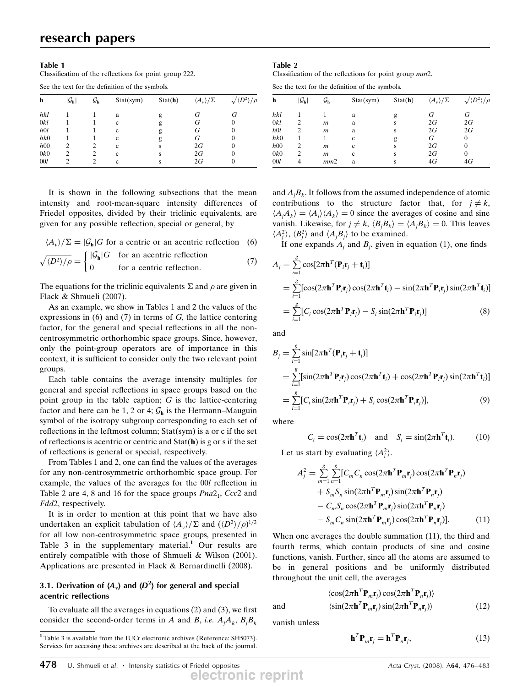#### Table 1

Classification of the reflections for point group 222.

See the text for the definition of the symbols.

| h   | $ \mathcal{G}_\mathbf{h} $ | Уh | Stat(sym) | Stat(h) | $\langle A_{\nu}\rangle/\Sigma$ |          |
|-----|----------------------------|----|-----------|---------|---------------------------------|----------|
| hkl |                            |    | a         | g       | G                               | G        |
| 0kl |                            |    | c         | g       | G                               | U        |
| h0l |                            |    | c         | g       | G                               | 0        |
| hk0 |                            |    | c         | g       | G                               | 0        |
| h00 | 2                          |    | c         | S       | 2G                              | 0        |
| 0k0 | 2                          |    | c         | s       | 2G                              | $\theta$ |
| 00l | $\mathfrak{D}$             |    | c         | s       | 2G                              | $_{0}$   |

It is shown in the following subsections that the mean intensity and root-mean-square intensity differences of Friedel opposites, divided by their triclinic equivalents, are given for any possible reflection, special or general, by

$$
\langle A_{\nu} \rangle / \Sigma = |\mathcal{G}_{\mathbf{h}}| G
$$
 for a centric or an acentric reflection (6)

$$
\sqrt{\langle D^2 \rangle / \rho} = \begin{cases} |\mathcal{G}_h|G & \text{for an acentric reflection} \\ 0 & \text{for a centric reflection.} \end{cases}
$$
 (7)

The equations for the triclinic equivalents  $\Sigma$  and  $\rho$  are given in Flack & Shmueli (2007).

As an example, we show in Tables 1 and 2 the values of the expressions in (6) and (7) in terms of G, the lattice centering factor, for the general and special reflections in all the noncentrosymmetric orthorhombic space groups. Since, however, only the point-group operators are of importance in this context, it is sufficient to consider only the two relevant point groups.

Each table contains the average intensity multiples for general and special reflections in space groups based on the point group in the table caption;  $G$  is the lattice-centering factor and here can be 1, 2 or 4;  $G_h$  is the Hermann–Mauguin symbol of the isotropy subgroup corresponding to each set of reflections in the leftmost column; Stat(sym) is a or c if the set of reflections is acentric or centric and  $Stat(h)$  is g or s if the set of reflections is general or special, respectively.

From Tables 1 and 2, one can find the values of the averages for any non-centrosymmetric orthorhombic space group. For example, the values of the averages for the 00l reflection in Table 2 are 4, 8 and 16 for the space groups  $Pna2_1$ ,  $Ccc2$  and Fdd2, respectively.

It is in order to mention at this point that we have also undertaken an explicit tabulation of  $\langle A_v \rangle / \Sigma$  and  $\left( \langle D^2 \rangle / \rho \right)^{1/2}$ <br>for all low non-centrosymmetric space groups, presented in for all low non-centrosymmetric space groups, presented in Table 3 in the supplementary material.<sup>1</sup> Our results are entirely compatible with those of Shmueli & Wilson (2001). Applications are presented in Flack & Bernardinelli (2008).

## 3.1. Derivation of  $\langle A_v \rangle$  and  $\langle D^2 \rangle$  for general and special acontric reflections acentric reflections

To evaluate all the averages in equations (2) and (3), we first consider the second-order terms in A and B, i.e.  $A_j A_k$ ,  $B_j B_k$ 

#### Table 2

Classification of the reflections for point group mm2.

See the text for the definition of the symbols.

| h   | $ \mathcal{G}_\mathbf{h} $ | Уh               | Stat(sym) | Stat(h) | $\langle A_v \rangle / \Sigma$ |    |
|-----|----------------------------|------------------|-----------|---------|--------------------------------|----|
| hkl |                            |                  | a         | g       | G                              | G  |
| 0kl | $\mathfrak{D}$             | m                | a         | S       | 2G                             | 2G |
| h0l |                            | $\boldsymbol{m}$ | a         | S       | 2G                             | 2G |
| hk0 |                            |                  | c         | g       | G                              | 0  |
| h00 | 2                          | m                | c         | S       | 2G                             | 0  |
| 0k0 |                            | m                | c         | s       | 2G                             | 0  |
| 00l |                            | mm2              | a         | s       | 4G                             | 4G |

and  $A_jB_k$ . It follows from the assumed independence of atomic contributions to the structure factor that, for  $j \neq k$ ,  $\langle A_j A_k \rangle = \langle A_j \rangle \langle A_k \rangle = 0$  since the averages of cosine and sine<br>vanish Likewise for  $i \neq k$  (*B B \ - (A B \ - 0*). This leaves vanish. Likewise, for  $j \neq k$ ,  $\langle B_j B_k \rangle = \langle A_j B_k \rangle = 0$ . This leaves  $\langle A_j^2 \rangle$ ,  $\langle B_j^2 \rangle$  and  $\langle A_j B_j \rangle$  to be examined.<br>If one expands A and B given in

If one expands  $A_j$  and  $B_j$ , given in equation (1), one finds

$$
A_j = \sum_{i=1}^{g} \cos[2\pi \mathbf{h}^T (\mathbf{P}_i \mathbf{r}_j + \mathbf{t}_i)]
$$
  
\n
$$
= \sum_{i=1}^{g} [\cos(2\pi \mathbf{h}^T \mathbf{P}_i \mathbf{r}_j) \cos(2\pi \mathbf{h}^T \mathbf{t}_i) - \sin(2\pi \mathbf{h}^T \mathbf{P}_i \mathbf{r}_j) \sin(2\pi \mathbf{h}^T \mathbf{t}_i)]
$$
  
\n
$$
= \sum_{i=1}^{g} [C_i \cos(2\pi \mathbf{h}^T \mathbf{P}_i \mathbf{r}_j) - S_i \sin(2\pi \mathbf{h}^T \mathbf{P}_i \mathbf{r}_j)]
$$
(8)

and

$$
B_j = \sum_{i=1}^{g} \sin[2\pi \mathbf{h}^T (\mathbf{P}_i \mathbf{r}_j + \mathbf{t}_i)]
$$
  
\n
$$
= \sum_{i=1}^{g} [\sin(2\pi \mathbf{h}^T \mathbf{P}_i \mathbf{r}_j) \cos(2\pi \mathbf{h}^T \mathbf{t}_i) + \cos(2\pi \mathbf{h}^T \mathbf{P}_i \mathbf{r}_j) \sin(2\pi \mathbf{h}^T \mathbf{t}_i)]
$$
  
\n
$$
= \sum_{i=1}^{g} [C_i \sin(2\pi \mathbf{h}^T \mathbf{P}_i \mathbf{r}_j) + S_i \cos(2\pi \mathbf{h}^T \mathbf{P}_i \mathbf{r}_j)], \qquad (9)
$$

where

$$
C_i = \cos(2\pi \mathbf{h}^T \mathbf{t}_i) \quad \text{and} \quad S_i = \sin(2\pi \mathbf{h}^T \mathbf{t}_i). \tag{10}
$$

Let us start by evaluating  $\langle A_j^2 \rangle$ .

$$
A_j^2 = \sum_{m=1}^g \sum_{n=1}^g [C_m C_n \cos(2\pi \mathbf{h}^T \mathbf{P}_m \mathbf{r}_j) \cos(2\pi \mathbf{h}^T \mathbf{P}_n \mathbf{r}_j)
$$
  
+  $S_m S_n \sin(2\pi \mathbf{h}^T \mathbf{P}_m \mathbf{r}_j) \sin(2\pi \mathbf{h}^T \mathbf{P}_n \mathbf{r}_j)$   
-  $C_m S_n \cos(2\pi \mathbf{h}^T \mathbf{P}_m \mathbf{r}_j) \sin(2\pi \mathbf{h}^T \mathbf{P}_n \mathbf{r}_j)$   
-  $S_m C_n \sin(2\pi \mathbf{h}^T \mathbf{P}_m \mathbf{r}_j) \cos(2\pi \mathbf{h}^T \mathbf{P}_n \mathbf{r}_j)].$  (11)

When one averages the double summation (11), the third and fourth terms, which contain products of sine and cosine functions, vanish. Further, since all the atoms are assumed to be in general positions and be uniformly distributed throughout the unit cell, the averages

$$
\langle \cos(2\pi \mathbf{h}^T \mathbf{P}_m \mathbf{r}_j) \cos(2\pi \mathbf{h}^T \mathbf{P}_n \mathbf{r}_j) \rangle
$$
  
and 
$$
\langle \sin(2\pi \mathbf{h}^T \mathbf{P}_m \mathbf{r}_j) \sin(2\pi \mathbf{h}^T \mathbf{P}_n \mathbf{r}_j) \rangle
$$
 (12)

vanish unless

$$
\mathbf{h}^T \mathbf{P}_m \mathbf{r}_j = \mathbf{h}^T \mathbf{P}_n \mathbf{r}_j,
$$
 (13)

**electronic reprint**

<sup>1</sup> Table 3 is available from the IUCr electronic archives (Reference: SH5073). Services for accessing these archives are described at the back of the journal.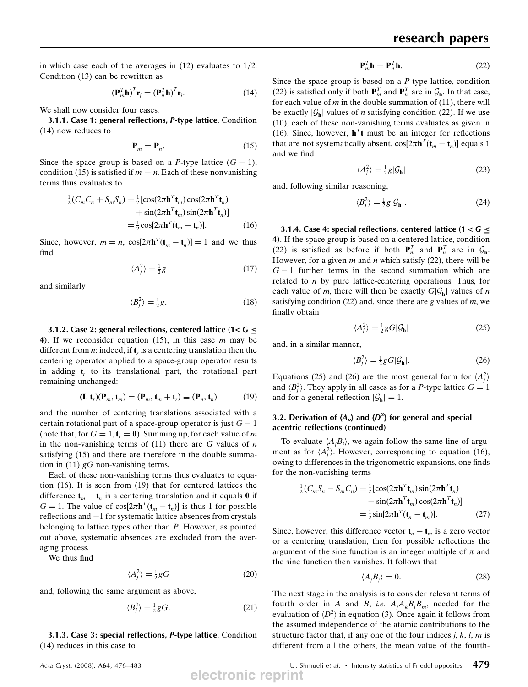in which case each of the averages in  $(12)$  evaluates to  $1/2$ . Condition (13) can be rewritten as

$$
\left(\mathbf{P}_m^T \mathbf{h}\right)^T \mathbf{r}_j = \left(\mathbf{P}_n^T \mathbf{h}\right)^T \mathbf{r}_j. \tag{14}
$$

We shall now consider four cases.

3.1.1. Case 1: general reflections, P-type lattice. Condition (14) now reduces to

$$
\mathbf{P}_m = \mathbf{P}_n. \tag{15}
$$

Since the space group is based on a P-type lattice  $(G = 1)$ , condition (15) is satisfied if  $m = n$ . Each of these nonvanishing terms thus evaluates to

$$
\frac{1}{2}(C_m C_n + S_m S_n) = \frac{1}{2} [\cos(2\pi \mathbf{h}^T \mathbf{t}_m) \cos(2\pi \mathbf{h}^T \mathbf{t}_n) \n+ \sin(2\pi \mathbf{h}^T \mathbf{t}_m) \sin(2\pi \mathbf{h}^T \mathbf{t}_n)] \n= \frac{1}{2} \cos[2\pi \mathbf{h}^T (\mathbf{t}_m - \mathbf{t}_n)].
$$
\n(16)

Since, however,  $m = n$ ,  $\cos[2\pi \mathbf{h}^T(\mathbf{t}_m - \mathbf{t}_n)] = 1$  and we thus find

$$
\langle A_j^2 \rangle = \frac{1}{2}g \tag{17}
$$

and similarly

$$
\langle B_j^2 \rangle = \frac{1}{2}g. \tag{18}
$$

3.1.2. Case 2: general reflections, centered lattice (1<  $G \le$ 4). If we reconsider equation  $(15)$ , in this case m may be different from  $n$ : indeed, if  $t<sub>r</sub>$  is a centering translation then the centering operator applied to a space-group operator results in adding  $t_r$ , to its translational part, the rotational part remaining unchanged:

$$
(\mathbf{I}, \mathbf{t}_r)(\mathbf{P}_m, \mathbf{t}_m) = (\mathbf{P}_m, \mathbf{t}_m + \mathbf{t}_r) \equiv (\mathbf{P}_n, \mathbf{t}_n)
$$
(19)

and the number of centering translations associated with a certain rotational part of a space-group operator is just  $G - 1$ (note that, for  $G = 1$ ,  $t_r = 0$ ). Summing up, for each value of m in the non-vanishing terms of  $(11)$  there are G values of n satisfying (15) and there are therefore in the double summation in (11)  $gG$  non-vanishing terms.

Each of these non-vanishing terms thus evaluates to equation (16). It is seen from (19) that for centered lattices the difference  $t_m - t_n$  is a centering translation and it equals 0 if  $G = 1$ . The value of  $\cos[2\pi \mathbf{h}^T(\mathbf{t}_m - \mathbf{t}_n)]$  is thus 1 for possible reflections and  $-1$  for systematic lattice absences from crystals belonging to lattice types other than P. However, as pointed out above, systematic absences are excluded from the averaging process.

We thus find

$$
\langle A_j^2 \rangle = \frac{1}{2} g G \tag{20}
$$

and, following the same argument as above,

$$
\langle B_j^2 \rangle = \frac{1}{2} gG. \tag{21}
$$

3.1.3. Case 3: special reflections, P-type lattice. Condition (14) reduces in this case to

$$
\mathbf{P}_m^T \mathbf{h} = \mathbf{P}_n^T \mathbf{h}.
$$
 (22)

Since the space group is based on a  $P$ -type lattice, condition (22) is satisfied only if both  $\mathbf{P}_m^T$  and  $\mathbf{P}_n^T$  are in  $\mathcal{G}_h$ . In that case, for each value of m in the double summation of (11) there will for each value of  $m$  in the double summation of (11), there will be exactly  $|\mathcal{G}_h|$  values of *n* satisfying condition (22). If we use (10), each of these non-vanishing terms evaluates as given in (16). Since, however,  $h<sup>T</sup>t$  must be an integer for reflections that are not systematically absent,  $\cos[2\pi \mathbf{h}^T(\mathbf{t}_m - \mathbf{t}_n)]$  equals 1 and we find

$$
\langle A_j^2 \rangle = \frac{1}{2} g | \mathcal{G}_h |
$$
 (23)

and, following similar reasoning,

$$
\langle B_j^2 \rangle = \frac{1}{2} g |\mathcal{G}_h|. \tag{24}
$$

3.1.4. Case 4: special reflections, centered lattice (1 < <sup>G</sup> 4). If the space group is based on a centered lattice, condition (22) is satisfied as before if both  $\mathbf{P}_m^T$  and  $\mathbf{P}_n^T$  are in  $\mathcal{G}_h$ .<br>However for a given m and n which satisfy (22) there will be However, for a given  $m$  and  $n$  which satisfy (22), there will be  $G - 1$  further terms in the second summation which are related to  $n$  by pure lattice-centering operations. Thus, for each value of m, there will then be exactly  $G|\mathcal{G}_{h}|$  values of n satisfying condition (22) and, since there are g values of  $m$ , we finally obtain

$$
\langle A_j^2 \rangle = \frac{1}{2} g G |\mathcal{G}_h| \tag{25}
$$

and, in a similar manner,

$$
\langle B_j^2 \rangle = \frac{1}{2} g G |\mathcal{G}_h|. \tag{26}
$$

Equations (25) and (26) are the most general form for  $\langle A_i^2 \rangle$ Equations (25) and (26) are the most general form for  $\langle A_j \rangle$ <br>and  $\langle B_j^2 \rangle$ . They apply in all cases as for a *P*-type lattice  $G = 1$ <br>and for a general reflection  $|G| - 1$ and for a general reflection  $|\mathcal{G}_h| = 1$ .

### 3.2. Derivation of  $\langle A_{\nu} \rangle$  and  $\langle D^2 \rangle$  for general and special according of continued acentric reflections (continued)

To evaluate  $\langle A_j B_j \rangle$ , we again follow the same line of argu-<br>ent as for  $\langle A_1^2 \rangle$ . However, corresponding to equation (16) ment as for  $\langle A_j^2 \rangle$ . However, corresponding to equation (16),<br>owing to differences in the trigonometric expansions one finds owing to differences in the trigonometric expansions, one finds for the non-vanishing terms

$$
\frac{1}{2}(C_m S_n - S_m C_n) = \frac{1}{2} [\cos(2\pi \mathbf{h}^T \mathbf{t}_m) \sin(2\pi \mathbf{h}^T \mathbf{t}_n) - \sin(2\pi \mathbf{h}^T \mathbf{t}_m) \cos(2\pi \mathbf{h}^T \mathbf{t}_n)]
$$

$$
= \frac{1}{2} \sin[2\pi \mathbf{h}^T (\mathbf{t}_n - \mathbf{t}_m)]. \tag{27}
$$

Since, however, this difference vector  $t_n - t_m$  is a zero vector or a centering translation, then for possible reflections the argument of the sine function is an integer multiple of  $\pi$  and the sine function then vanishes. It follows that

$$
\langle A_j B_j \rangle = 0. \tag{28}
$$

The next stage in the analysis is to consider relevant terms of fourth order in A and B, i.e.  $A_jA_kB_lB_m$ , needed for the evaluation of  $\langle D^2 \rangle$  in equation (3). Once again it follows from the assumed independence of the atomic contributions to the structure factor that, if any one of the four indices  $j, k, l, m$  is different from all the others, the mean value of the fourth-

Acta Cryst. (2008). A64, 476–483 **Acta Cryst.** (2008). A64, 476–483 U. Shmueli et al.  $\cdot$  Intensity statistics of Friedel opposites  $\frac{479}{100}$ **electronic reprint**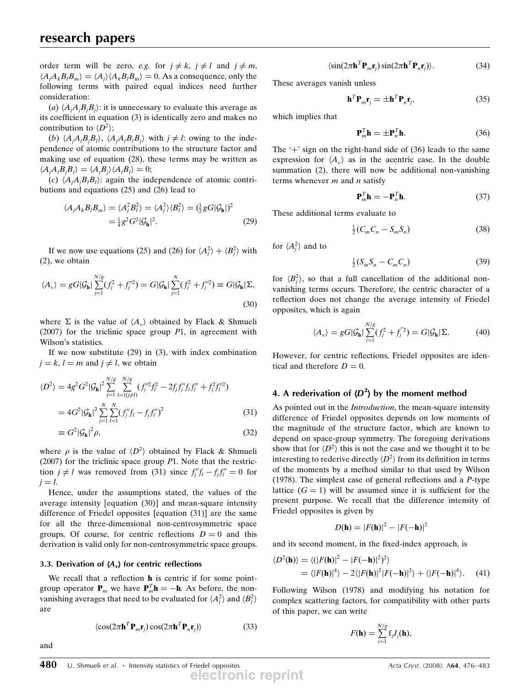order term will be zero, *e.g.* for  $j \neq k$ ,  $j \neq l$  and  $j \neq m$ ,  $\langle A_j A_k B_l B_m \rangle = \langle A_j \rangle \langle A_k B_l B_m \rangle = 0$ . As a consequence, only the following terms with paired equal indices need further following terms with paired equal indices need further consideration:

(a)  $\langle A_j A_j B_j B_j \rangle$ : it is unnecessary to evaluate this average as<br>coefficient in equation (3) is identically zero and makes no its coefficient in equation (3) is identically zero and makes no contribution to  $\langle D^2 \rangle$ ;

(b)  $\langle A_j A_l B_j B_l \rangle$ ,  $\langle A_j A_l B_l B_j \rangle$  with  $j \neq l$ : owing to the inde-<br>ndence of atomic contributions to the structure factor and pendence of atomic contributions to the structure factor and making use of equation (28), these terms may be written as  $\langle A_i A_i B_j B_l \rangle = \langle A_j B_j \rangle \langle A_i B_l \rangle = 0;$ <br>(c)  $\langle A A B R \rangle$ ; again the inc

(c)  $\langle A_j A_j B_l B_l \rangle$ : again the independence of atomic contri-<br>tions and equations (25) and (26) lead to butions and equations (25) and (26) lead to

$$
\langle A_j A_k B_l B_m \rangle = \langle A_j^2 B_l^2 \rangle = \langle A_j^2 \rangle \langle B_l^2 \rangle = (\frac{1}{2} g G | \mathcal{G}_h |)^2
$$
  
=  $\frac{1}{4} g^2 G^2 | \mathcal{G}_h |^2$ . (29)

If we now use equations (25) and (26) for  $\langle A_j^2 \rangle + \langle B_j^2 \rangle$  with (2), we obtain

$$
\langle A_{\nu} \rangle = gG|\mathcal{G}_{\mathbf{h}}| \sum_{j=1}^{N/g} (f_j^2 + f_j^{\prime\prime 2}) = G|\mathcal{G}_{\mathbf{h}}| \sum_{j=1}^{N} (f_j^2 + f_j^{\prime\prime 2}) \equiv G|\mathcal{G}_{\mathbf{h}}| \Sigma,
$$
\n(30)

where  $\Sigma$  is the value of  $\langle A_{\nu} \rangle$  obtained by Flack & Shmueli (2007) for the triclinic space group  $P1$ , in agreement with Wilson's statistics.

If we now substitute  $(29)$  in  $(3)$ , with index combination  $j = k, l = m$  and  $j \neq l$ , we obtain

$$
\langle D^2 \rangle = 4g^2 G^2 | \mathcal{G}_\mathbf{h} |^2 \sum_{j=1}^{N/g} \sum_{l=1(j\neq l)}^{N/g} (f_j''^2 f_l^2 - 2f_j f_j'' f_l f_l'' + f_j^2 f_l''^2)
$$
  
= 
$$
4G^2 | \mathcal{G}_\mathbf{h} |^2 \sum_{j=1}^{N} \sum_{l=1}^{N} (f_j'' f_l - f_j f_l'')^2
$$
(31)

$$
\equiv G^2 |\mathcal{G}_h|^2 \rho,\tag{32}
$$

where  $\rho$  is the value of  $\langle D^2 \rangle$  obtained by Flack & Shmueli<br>(2007) for the triclinic space group P1. Note that the restric-(2007) for the triclinic space group  $P1$ . Note that the restriction  $j \neq l$  was removed from (31) since  $f_j'' f_l - f_j f_l'' = 0$  for  $i - l$  $j = l$ .

Hence, under the assumptions stated, the values of the average intensity [equation (30)] and mean-square intensity difference of Friedel opposites [equation (31)] are the same for all the three-dimensional non-centrosymmetric space groups. Of course, for centric reflections  $D = 0$  and this derivation is valid only for non-centrosymmetric space groups.

#### 3.3. Derivation of  $\langle A_{\nu} \rangle$  for centric reflections

and

We recall that a reflection **h** is centric if for some pointgroup operator **P**<sub>m</sub> we have **P**<sub>m</sub>**h** = -**h**. As before, the non-<br>vanishing averages that need to be evaluated for  $(A^2)$  and  $(B^2)$ vanishing averages that need to be evaluated for  $\langle A_j^2 \rangle$  and  $\langle B_j^2 \rangle$ are

$$
\langle \cos(2\pi \mathbf{h}^T \mathbf{P}_m \mathbf{r}_j) \cos(2\pi \mathbf{h}^T \mathbf{P}_n \mathbf{r}_j) \rangle \tag{33}
$$

$$
\langle \sin(2\pi \mathbf{h}^T \mathbf{P}_m \mathbf{r}_j) \sin(2\pi \mathbf{h}^T \mathbf{P}_n \mathbf{r}_j) \rangle. \tag{34}
$$

These averages vanish unless

$$
\mathbf{h}^T \mathbf{P}_m \mathbf{r}_j = \pm \mathbf{h}^T \mathbf{P}_n \mathbf{r}_j,\tag{35}
$$

which implies that

$$
\mathbf{P}_m^T \mathbf{h} = \pm \mathbf{P}_n^T \mathbf{h}.\tag{36}
$$

The  $+$  sign on the right-hand side of (36) leads to the same expression for  $\langle A_{\nu} \rangle$  as in the acentric case. In the double summation (2), there will now be additional non-vanishing terms whenever  $m$  and  $n$  satisfy

$$
\mathbf{P}_m^T \mathbf{h} = -\mathbf{P}_n^T \mathbf{h}.\tag{37}
$$

These additional terms evaluate to

$$
\frac{1}{2}(C_m C_n - S_m S_n) \tag{38}
$$

for  $\langle A_j^2 \rangle$  and to

$$
\frac{1}{2}(S_m S_n - C_m C_n) \tag{39}
$$

for  $\langle B_j^2 \rangle$ , so that a full cancellation of the additional non-<br>vanishing terms occurs. Therefore, the centric character of a vanishing terms occurs. Therefore, the centric character of a reflection does not change the average intensity of Friedel opposites, which is again

$$
\langle A_{\nu} \rangle = gG|\mathcal{G}_{\mathbf{h}}| \sum_{j=1}^{N/g} (f_j^2 + f_j^{"2}) = G|\mathcal{G}_{\mathbf{h}}| \Sigma. \tag{40}
$$

However, for centric reflections, Friedel opposites are identical and therefore  $D = 0$ .

# 4. A rederivation of  $\langle D^2 \rangle$  by the moment method

As pointed out in the *Introduction*, the mean-square intensity difference of Friedel opposites depends on low moments of the magnitude of the structure factor, which are known to depend on space-group symmetry. The foregoing derivations show that for  $\langle D^2 \rangle$  this is not the case and we thought it to be<br>interesting to rederive directly  $\langle D^2 \rangle$  from its definition in terms interesting to rederive directly  $\langle D^2 \rangle$  from its definition in terms of the moments by a method similar to that used by Wilson (1978). The simplest case of general reflections and a P-type lattice  $(G = 1)$  will be assumed since it is sufficient for the present purpose. We recall that the difference intensity of Friedel opposites is given by

$$
D(\mathbf{h}) = |F(\mathbf{h})|^2 - |F(-\mathbf{h})|^2
$$

and its second moment, in the fixed-index approach, is

$$
\langle D^2(\mathbf{h}) \rangle = \langle (|F(\mathbf{h})|^2 - |F(-\mathbf{h})|^2)^2 \rangle
$$
  
=  $\langle |F(\mathbf{h})|^4 \rangle - 2\langle |F(\mathbf{h})|^2 |F(-\mathbf{h})|^2 \rangle + \langle |F(-\mathbf{h})|^4 \rangle.$  (41)

Following Wilson (1978) and modifying his notation for complex scattering factors, for compatibility with other parts of this paper, we can write

$$
F(\mathbf{h}) = \sum_{i=1}^{N/g} \mathbf{f}_i J_i(\mathbf{h}),
$$

**electronic reprint**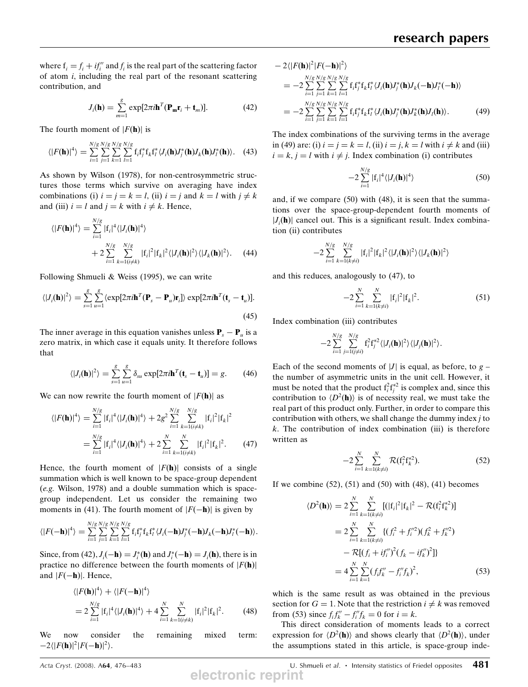where  $f_i = f_i + if''_i$  and  $f_i$  is the real part of the scattering factor of atom *i* including the real part of the resonant scattering of atom  $i$ , including the real part of the resonant scattering contribution, and

$$
J_i(\mathbf{h}) = \sum_{m=1}^{8} \exp[2\pi i \mathbf{h}^T (\mathbf{P}_{\mathbf{m}} \mathbf{r}_i + \mathbf{t}_m)].
$$
 (42)

The fourth moment of  $|F(\mathbf{h})|$  is

$$
\langle |F(\mathbf{h})|^4 \rangle = \sum_{i=1}^{N/g} \sum_{j=1}^{N/g} \sum_{k=1}^{N/g} \sum_{l=1}^{N/g} \mathbf{f}_i \mathbf{f}_j^* \mathbf{f}_k \mathbf{f}_l^* \langle J_i(\mathbf{h}) J_j^*(\mathbf{h}) J_k(\mathbf{h}) J_l^*(\mathbf{h}) \rangle. \tag{43}
$$

As shown by Wilson (1978), for non-centrosymmetric structures those terms which survive on averaging have index combinations (i)  $i = j = k = l$ , (ii)  $i = j$  and  $k = l$  with  $j \neq k$ and (iii)  $i = l$  and  $j = k$  with  $i \neq k$ . Hence,

$$
\langle |F(\mathbf{h})|^4 \rangle = \sum_{i=1}^{N/g} |f_i|^4 \langle |J_i(\mathbf{h})|^4 \rangle
$$
  
+ 
$$
2 \sum_{i=1}^{N/g} \sum_{k=1 (i \neq k)}^{N/g} |f_i|^2 |f_k|^2 \langle |J_i(\mathbf{h})|^2 \rangle \langle |J_k(\mathbf{h})|^2 \rangle. \tag{44}
$$

Following Shmueli & Weiss (1995), we can write

$$
\langle |J_i(\mathbf{h})|^2 \rangle = \sum_{s=1}^{g} \sum_{u=1}^{g} \langle \exp[2\pi i \mathbf{h}^T (\mathbf{P}_s - \mathbf{P}_u) \mathbf{r}_i] \rangle \exp[2\pi i \mathbf{h}^T (\mathbf{t}_s - \mathbf{t}_u)].
$$
\n(45)

The inner average in this equation vanishes unless  $P_s - P_u$  is a zero matrix, in which case it equals unity. It therefore follows that

$$
\langle |J_i(\mathbf{h})|^2 \rangle = \sum_{s=1}^{g} \sum_{u=1}^{g} \delta_{su} \exp[2\pi i \mathbf{h}^T (\mathbf{t}_s - \mathbf{t}_u)] = g. \quad (46)
$$

We can now rewrite the fourth moment of  $|F(\mathbf{h})|$  as

$$
\langle |F(\mathbf{h})|^4 \rangle = \sum_{i=1}^{N/g} |f_i|^4 \langle |J_i(\mathbf{h})|^4 \rangle + 2g^2 \sum_{i=1}^{N/g} \sum_{k=1(i \neq k)}^{N/g} |f_i|^2 |f_k|^2
$$
  
= 
$$
\sum_{i=1}^{N/g} |f_i|^4 \langle |J_i(\mathbf{h})|^4 \rangle + 2 \sum_{i=1}^{N} \sum_{k=1(i \neq k)}^{N} |f_i|^2 |f_k|^2.
$$
 (47)

Hence, the fourth moment of  $|F(\mathbf{h})|$  consists of a single summation which is well known to be space-group dependent (e.g. Wilson, 1978) and a double summation which is spacegroup independent. Let us consider the remaining two moments in (41). The fourth moment of  $|F(-h)|$  is given by

$$
\langle |F(-\mathbf{h})|^4 \rangle = \sum_{i=1}^{N/g} \sum_{j=1}^{N/g} \sum_{k=1}^{N/g} \sum_{l=1}^{N/g} \mathbf{f}_i \mathbf{f}_j^* \mathbf{f}_k \mathbf{f}_l^* \langle J_i(-\mathbf{h}) J_j^*(-\mathbf{h}) J_k(-\mathbf{h}) J_l^*(-\mathbf{h}) \rangle.
$$

Since, from  $(42)$ ,  $J_i(-\mathbf{h}) = J_i^*(\mathbf{h})$  and  $J_i^*(-\mathbf{h}) = J_i(\mathbf{h})$ , there is in practice no difference between the fourth moments of  $|E(\mathbf{h})|$ practice no difference between the fourth moments of  $|F(\mathbf{h})|$ and  $|F(-h)|$ . Hence,

$$
\langle |F(\mathbf{h})|^4 \rangle + \langle |F(-\mathbf{h})|^4 \rangle
$$
  
=  $2 \sum_{i=1}^{N/g} |f_i|^4 \langle |J_i(\mathbf{h})|^4 \rangle + 4 \sum_{i=1}^{N} \sum_{k=1 (i \neq k)}^{N} |f_i|^2 |f_k|^2.$  (48)

We now consider the remaining mixed term:  $-2\langle |F(\mathbf{h})|^2|F(-\mathbf{h})|^2\rangle.$ 

$$
- 2\langle |F(\mathbf{h})|^2 |F(-\mathbf{h})|^2 \rangle
$$
  
=  $-2 \sum_{i=1}^{N/g} \sum_{j=1}^{N/g} \sum_{k=1}^{N/g} \sum_{l=1}^{N/g} f_i f_j^* f_k f_l^* \langle J_i(\mathbf{h}) J_j^*(\mathbf{h}) J_k(-\mathbf{h}) J_l^*(-\mathbf{h}) \rangle$   
=  $-2 \sum_{i=1}^{N/g} \sum_{j=1}^{N/g} \sum_{k=1}^{N/g} \sum_{l=1}^{N/g} f_i f_j^* f_k f_l^* \langle J_i(\mathbf{h}) J_j^*(\mathbf{h}) J_k^*(\mathbf{h}) J_l(\mathbf{h}) \rangle.$  (49)

The index combinations of the surviving terms in the average in (49) are: (i)  $i = j = k = l$ , (ii)  $i = j$ ,  $k = l$  with  $i \neq k$  and (iii)  $i = k$ ,  $j = l$  with  $i \neq j$ . Index combination (i) contributes

$$
-2\sum_{i=1}^{N/g} |f_i|^4 \langle |J_i(\mathbf{h})|^4 \rangle \tag{50}
$$

and, if we compare (50) with (48), it is seen that the summations over the space-group-dependent fourth moments of  $|J_i(\mathbf{h})|$  cancel out. This is a significant result. Index combina-<br>tion (ii) contributes tion (ii) contributes

$$
-2\sum_{i=1}^{N/g}\sum_{k=1(k\neq i)}^{N/g}|\mathbf{f}_i|^2|\mathbf{f}_k|^2\langle|J_i(\mathbf{h})|^2\rangle\langle|J_k(\mathbf{h})|^2\rangle
$$

and this reduces, analogously to (47), to

$$
-2\sum_{i=1}^{N}\sum_{k=1(k\neq i)}^{N}|f_{i}|^{2}|f_{k}|^{2}.
$$
 (51)

Index combination (iii) contributes

$$
-2\sum_{i=1}^{N/g}\sum_{j=1(j\neq i)}^{N/g} \mathbf{f}_i^2\mathbf{f}_j^{*2} \langle |J_i(\mathbf{h})|^2 \rangle \langle |J_j(\mathbf{h})|^2 \rangle.
$$

Each of the second moments of  $|J|$  is equal, as before, to  $g$  – the number of asymmetric units in the unit cell. However, it must be noted that the product  $f_i^2 f_j^{*2}$  is complex and, since this contribution to  $\langle D^2(\mathbf{h})\rangle$  is of necessity real, we must take the real part of this product only. Further, in order to compare this contribution with others, we shall change the dummy index  $j$  to  $k$ . The contribution of index combination (iii) is therefore written as

$$
-2\sum_{i=1}^{N} \sum_{k=1(k\neq i)}^{N} \mathcal{R}(f_i^2 f_k^{*2}).
$$
 (52)

If we combine  $(52)$ ,  $(51)$  and  $(50)$  with  $(48)$ ,  $(41)$  becomes

$$
\langle D^2(\mathbf{h}) \rangle = 2 \sum_{i=1}^N \sum_{k=1(k \neq i)}^N [(|\mathbf{f}_i|^2 | \mathbf{f}_k|^2 - \mathcal{R}(\mathbf{f}_i^2 \mathbf{f}_k^*)]
$$
  
\n
$$
= 2 \sum_{i=1}^N \sum_{k=1(k \neq i)}^N \{ (f_i^2 + f_i''^2) (f_k^2 + f_k''^2)
$$
  
\n
$$
- \mathcal{R}[(f_i + if_i'')^2 (f_k - if_k'')^2] \}
$$
  
\n
$$
= 4 \sum_{i=1}^N \sum_{k=1}^N (f_i f_k'' - f_i'' f_k)^2,
$$
 (53)

which is the same result as was obtained in the previous section for  $G = 1$ . Note that the restriction  $i \neq k$  was removed from (53) since  $f_i f_k'' - f_i'' f_k = 0$  for  $i = k$ .<br>This direct consideration of moment

This direct consideration of moments leads to a correct expression for  $\langle D^2(\mathbf{h})\rangle$  and shows clearly that  $\langle D^2(\mathbf{h})\rangle$ , under the assumptions stated in this article, is space-group inde-

Acta Cryst. (2008). A64, 476–483 **Acta Cryst.** (2008). A64, 476–483 U. Shmueli et al. **Intensity statistics of Friedel opposites** 481 **electronic reprint**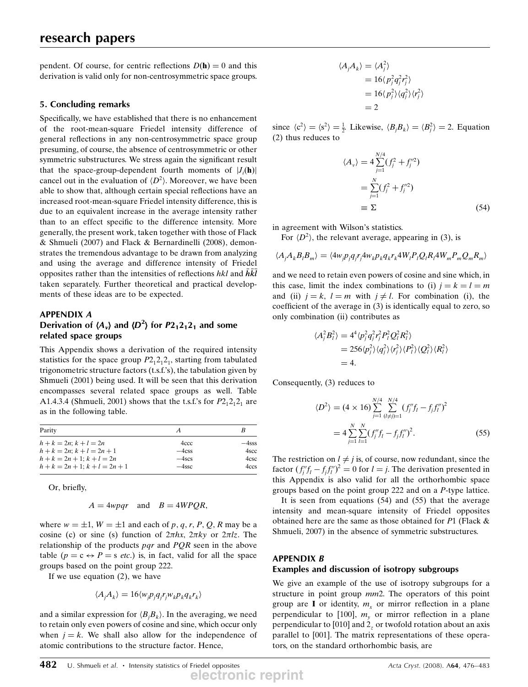pendent. Of course, for centric reflections  $D(h) = 0$  and this derivation is valid only for non-centrosymmetric space groups.

### 5. Concluding remarks

Specifically, we have established that there is no enhancement of the root-mean-square Friedel intensity difference of general reflections in any non-centrosymmetric space group presuming, of course, the absence of centrosymmetric or other symmetric substructures. We stress again the significant result that the space-group-dependent fourth moments of  $|J_i(\mathbf{h})|$ <br>cancel out in the evaluation of  $\langle D^2 \rangle$ . Moreover, we have been cancel out in the evaluation of  $\langle D^2 \rangle$ . Moreover, we have been<br>able to show that although certain special reflections have an able to show that, although certain special reflections have an increased root-mean-square Friedel intensity difference, this is due to an equivalent increase in the average intensity rather than to an effect specific to the difference intensity. More generally, the present work, taken together with those of Flack & Shmueli (2007) and Flack & Bernardinelli (2008), demonstrates the tremendous advantage to be drawn from analyzing and using the average and difference intensity of Friedel opposites rather than the intensities of reflections  $hkl$  and  $\bar{h}\bar{k}\bar{l}$ taken separately. Further theoretical and practical developments of these ideas are to be expected.

### APPENDIX A Derivation of  $\langle A_v \rangle$  and  $\langle D^2 \rangle$  for  $P2_12_12_1$  and some related space groups related space groups

This Appendix shows a derivation of the required intensity statistics for the space group  $P2_12_12_1$ , starting from tabulated trigonometric structure factors (t.s.f.'s), the tabulation given by Shmueli (2001) being used. It will be seen that this derivation encompasses several related space groups as well. Table A1.4.3.4 (Shmueli, 2001) shows that the t.s.f.'s for  $P2_12_12_1$  are as in the following table.

| Parity                      | А        | B        |  |
|-----------------------------|----------|----------|--|
| $h + k = 2n$ ; $k + l = 2n$ | 4ccc     | $-4$ sss |  |
| $h+k = 2n$ : $k+l = 2n+1$   | $-4$ css | 4scc     |  |
| $h+k = 2n+1$ ; $k+l = 2n$   | $-4$ scs | 4csc     |  |
| $h+k = 2n+1$ ; $k+l = 2n+1$ | $-4$ ssc | 4ccs     |  |

Or, briefly,

$$
A = 4wpqr \quad \text{and} \quad B = 4WPQR,
$$

where  $w = \pm 1$ ,  $W = \pm 1$  and each of p, q, r, P, Q, R may be a cosine (c) or sine (s) function of  $2\pi hx$ ,  $2\pi ky$  or  $2\pi lz$ . The relationship of the products  $pqr$  and  $PQR$  seen in the above table ( $p = c \leftrightarrow P = s$  *etc.*) is, in fact, valid for all the space groups based on the point group 222.

If we use equation (2), we have

$$
\langle A_j A_k \rangle = 16 \langle w_j p_j q_j r_j w_k p_k q_k r_k \rangle
$$

and a similar expression for  $\langle B_j B_k \rangle$ . In the averaging, we need<br>to retain only even powers of cosine and sine, which occur only to retain only even powers of cosine and sine, which occur only when  $j = k$ . We shall also allow for the independence of atomic contributions to the structure factor. Hence,

$$
A_j A_k\rangle = \langle A_j^2 \rangle
$$
  
= 16\langle p\_j^2 q\_j^2 r\_j^2 \rangle  
= 16\langle p\_j^2 \rangle \langle q\_j^2 \rangle \langle r\_j^2 \rangle  
= 2

since  $\langle c^2 \rangle = \langle s^2 \rangle = \frac{1}{2}$ . Likewise,  $\langle B_j B_k \rangle = \langle B_j^2 \rangle = 2$ . Equation (2) thus reduces to (2) thus reduces to

$$
\langle A_{\nu} \rangle = 4 \sum_{j=1}^{N/4} (f_j^2 + f_j^{\prime\prime 2})
$$
  
= 
$$
\sum_{j=1}^{N} (f_j^2 + f_j^{\prime\prime 2})
$$
  

$$
\equiv \Sigma
$$
 (54)

in agreement with Wilson's statistics.

 $\sqrt{2}$ 

For  $\langle D^2 \rangle$ , the relevant average, appearing in (3), is

$$
\langle A_j A_k B_l B_m \rangle = \langle 4 w_j p_j q_j r_j 4 w_k p_k q_k r_k 4 W_l P_l Q_l R_l 4 W_m P_m Q_m R_m \rangle
$$

and we need to retain even powers of cosine and sine which, in this case, limit the index combinations to (i)  $j = k = l = m$ and (ii)  $j = k$ ,  $l = m$  with  $j \neq l$ . For combination (i), the coefficient of the average in (3) is identically equal to zero, so only combination (ii) contributes as

$$
\langle A_j^2 B_l^2 \rangle = 4^4 \langle p_j^2 q_j^2 r_j^2 P_l^2 Q_l^2 R_l^2 \rangle
$$
  
= 256 \langle p\_j^2 \rangle \langle q\_j^2 \rangle \langle r\_j^2 \rangle \langle P\_l^2 \rangle \langle Q\_l^2 \rangle \langle R\_l^2 \rangle  
= 4.

Consequently, (3) reduces to

$$
\langle D^2 \rangle = (4 \times 16) \sum_{j=1}^{N/4} \sum_{(l \neq j)=1}^{N/4} (f_j'' f_l - f_j f_l'')^2
$$
  
=  $4 \sum_{j=1}^{N} \sum_{l=1}^{N} (f_j'' f_l - f_j f_l'')^2.$  (55)

The restriction on  $l \neq j$  is, of course, now redundant, since the factor  $(f_j''f_l - f_jf_l'')^2 = 0$  for  $l = j$ . The derivation presented in this Appendix is also valid for all the orthorhombic space this Appendix is also valid for all the orthorhombic space groups based on the point group 222 and on a P-type lattice.

It is seen from equations (54) and (55) that the average intensity and mean-square intensity of Friedel opposites obtained here are the same as those obtained for P1 (Flack & Shmueli, 2007) in the absence of symmetric substructures.

## APPENDIX B

#### Examples and discussion of isotropy subgroups

We give an example of the use of isotropy subgroups for a structure in point group  $mm2$ . The operators of this point group are I or identity,  $m_r$  or mirror reflection in a plane perpendicular to [100],  $m<sub>v</sub>$  or mirror reflection in a plane perpendicular to [010] and 2, or twofold rotation about an axis parallel to [001]. The matrix representations of these operators, on the standard orthorhombic basis, are